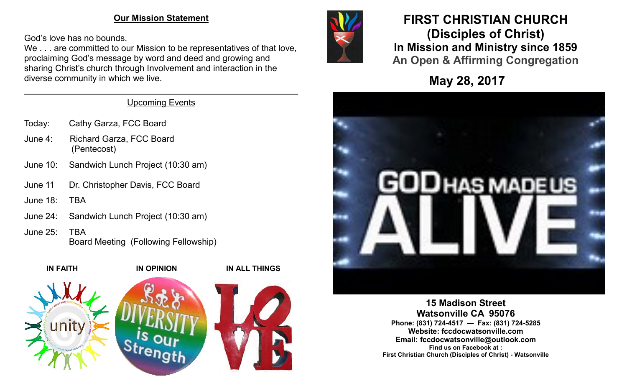### **Our Mission Statement**

God's love has no bounds.

We . . . are committed to our Mission to be representatives of that love, proclaiming God's message by word and deed and growing and sharing Christ's church through Involvement and interaction in the diverse community in which we live.



- Today: Cathy Garza, FCC Board
- June 4: Richard Garza, FCC Board (Pentecost)
- June 10: Sandwich Lunch Project (10:30 am)
- June 11 Dr. Christopher Davis, FCC Board
- June 18: TBA
- June 24: Sandwich Lunch Project (10:30 am)
- June 25: TBA Board Meeting (Following Fellowship)





# **FIRST CHRISTIAN CHURCH (Disciples of Christ) In Mission and Ministry since 1859 An Open & Affirming Congregation**

**May 28, 2017**



**15 Madison Street Watsonville CA 95076 Phone: (831) 724-4517 — Fax: (831) 724-5285 Website: fccdocwatsonville.com Email: fccdocwatsonville@outlook.com Find us on Facebook at : First Christian Church (Disciples of Christ) - Watsonville**